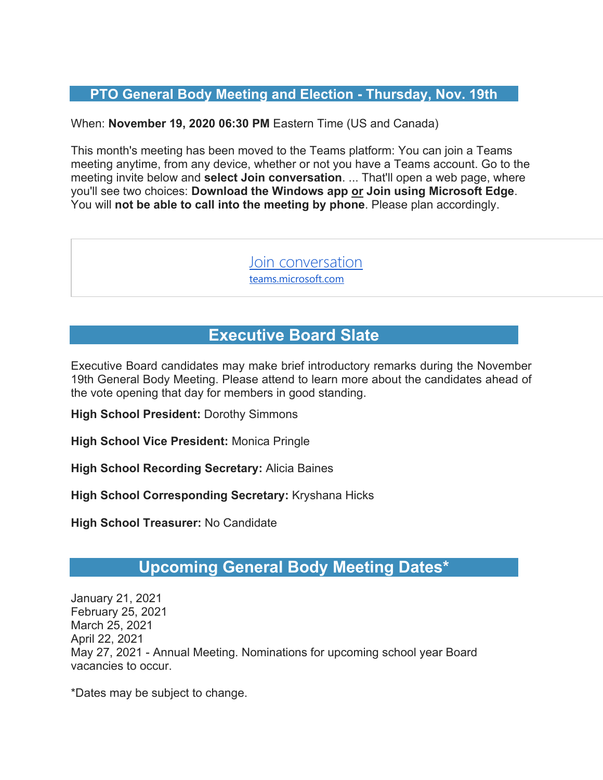#### **PTO General Body Meeting and Election - Thursday, Nov. 19th**

When: **November 19, 2020 06:30 PM** Eastern Time (US and Canada)

This month's meeting has been moved to the Teams platform: You can join a Teams meeting anytime, from any device, whether or not you have a Teams account. Go to the meeting invite below and **select Join conversation**. ... That'll open a web page, where you'll see two choices: **Download the Windows app or Join using Microsoft Edge**. You will **not be able to call into the meeting by phone**. Please plan accordingly.

> Join conversation teams.microsoft.com

## **Executive Board Slate**

Executive Board candidates may make brief introductory remarks during the November 19th General Body Meeting. Please attend to learn more about the candidates ahead of the vote opening that day for members in good standing.

**High School President:** Dorothy Simmons

**High School Vice President:** Monica Pringle

**High School Recording Secretary:** Alicia Baines

**High School Corresponding Secretary:** Kryshana Hicks

**High School Treasurer:** No Candidate

### **Upcoming General Body Meeting Dates\***

January 21, 2021 February 25, 2021 March 25, 2021 April 22, 2021 May 27, 2021 - Annual Meeting. Nominations for upcoming school year Board vacancies to occur.

\*Dates may be subject to change.